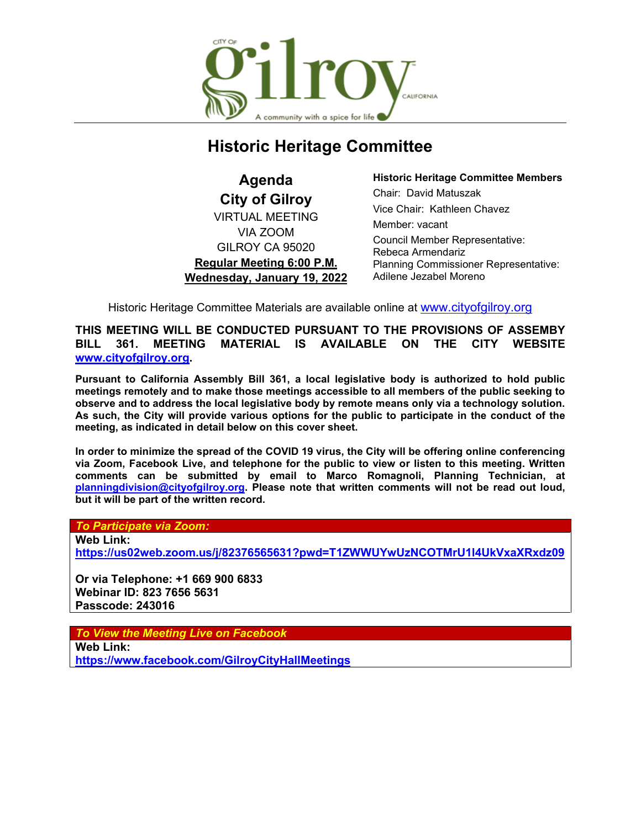

# **Historic Heritage Committee**

**Agenda City of Gilroy** VIRTUAL MEETING VIA ZOOM GILROY CA 95020 **Regular Meeting 6:00 P.M. Wednesday, January 19, 2022** **Historic Heritage Committee Members** Chair: David Matuszak Vice Chair: Kathleen Chavez Member: vacant Council Member Representative: Rebeca Armendariz Planning Commissioner Representative: Adilene Jezabel Moreno

Historic Heritage Committee Materials are available online at [www.cityofgilroy.org](http://www.cityofgilroy.org/)

**THIS MEETING WILL BE CONDUCTED PURSUANT TO THE PROVISIONS OF ASSEMBY BILL 361. MEETING MATERIAL IS AVAILABLE ON THE CITY WEBSITE [www.cityofgilroy.org.](http://www.cityofgilroy.org/)**

**Pursuant to California Assembly Bill 361, a local legislative body is authorized to hold public meetings remotely and to make those meetings accessible to all members of the public seeking to observe and to address the local legislative body by remote means only via a technology solution. As such, the City will provide various options for the public to participate in the conduct of the meeting, as indicated in detail below on this cover sheet.**

**In order to minimize the spread of the COVID 19 virus, the City will be offering online conferencing via Zoom, Facebook Live, and telephone for the public to view or listen to this meeting. Written comments can be submitted by email to Marco Romagnoli, Planning Technician, at [planningdivision@cityofgilroy.org.](mailto:planningdivision@cityofgilroy.org) Please note that written comments will not be read out loud, but it will be part of the written record.**

*To Participate via Zoom:*

**Web Link:**

**<https://us02web.zoom.us/j/82376565631?pwd=T1ZWWUYwUzNCOTMrU1l4UkVxaXRxdz09>**

**Or via Telephone: +1 669 900 6833 Webinar ID: 823 7656 5631 Passcode: 243016**

*To View the Meeting Live on Facebook*

**Web Link: <https://www.facebook.com/GilroyCityHallMeetings>**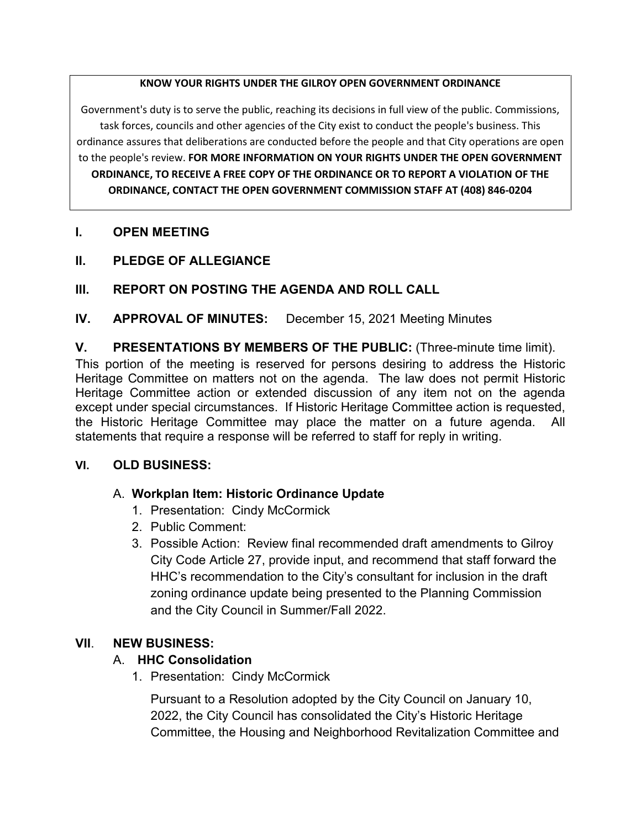#### **KNOW YOUR RIGHTS UNDER THE GILROY OPEN GOVERNMENT ORDINANCE**

Government's duty is to serve the public, reaching its decisions in full view of the public. Commissions, task forces, councils and other agencies of the City exist to conduct the people's business. This ordinance assures that deliberations are conducted before the people and that City operations are open to the people's review. **FOR MORE INFORMATION ON YOUR RIGHTS UNDER THE OPEN GOVERNMENT ORDINANCE, TO RECEIVE A FREE COPY OF THE ORDINANCE OR TO REPORT A VIOLATION OF THE ORDINANCE, CONTACT THE OPEN GOVERNMENT COMMISSION STAFF AT (408) 846-0204**

# **I. OPEN MEETING**

**II. PLEDGE OF ALLEGIANCE**

# **III. REPORT ON POSTING THE AGENDA AND ROLL CALL**

**IV. APPROVAL OF MINUTES:** December 15, 2021 Meeting Minutes

**V. PRESENTATIONS BY MEMBERS OF THE PUBLIC:** (Three-minute time limit).

This portion of the meeting is reserved for persons desiring to address the Historic Heritage Committee on matters not on the agenda. The law does not permit Historic Heritage Committee action or extended discussion of any item not on the agenda except under special circumstances. If Historic Heritage Committee action is requested, the Historic Heritage Committee may place the matter on a future agenda. All statements that require a response will be referred to staff for reply in writing.

# **VI. OLD BUSINESS:**

# A. **Workplan Item: Historic Ordinance Update**

- 1. Presentation: Cindy McCormick
- 2. Public Comment:
- 3. Possible Action: Review final recommended draft amendments to Gilroy City Code Article 27, provide input, and recommend that staff forward the HHC's recommendation to the City's consultant for inclusion in the draft zoning ordinance update being presented to the Planning Commission and the City Council in Summer/Fall 2022.

# **VII**. **NEW BUSINESS:**

# A. **HHC Consolidation**

1. Presentation: Cindy McCormick

Pursuant to a Resolution adopted by the City Council on January 10, 2022, the City Council has consolidated the City's Historic Heritage Committee, the Housing and Neighborhood Revitalization Committee and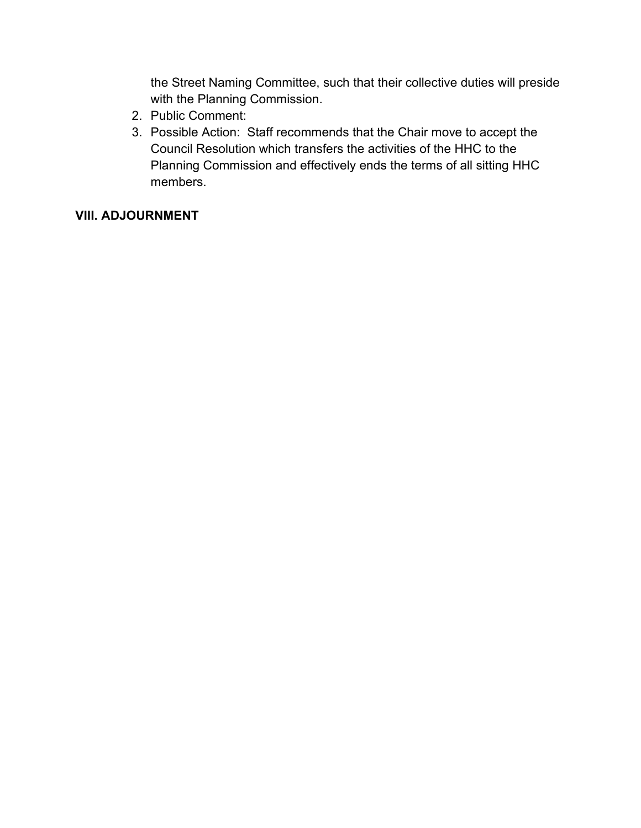the Street Naming Committee, such that their collective duties will preside with the Planning Commission.

- 2. Public Comment:
- 3. Possible Action: Staff recommends that the Chair move to accept the Council Resolution which transfers the activities of the HHC to the Planning Commission and effectively ends the terms of all sitting HHC members.

# **VIII. ADJOURNMENT**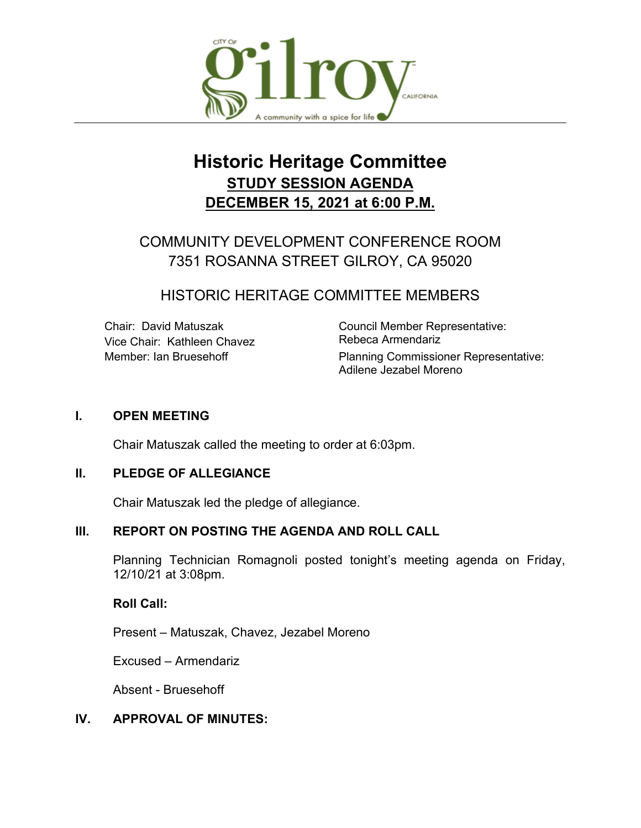

# **Historic Heritage Committee STUDY SESSION AGENDA DECEMBER 15, 2021 at 6:00 P.M.**

# COMMUNITY DEVELOPMENT CONFERENCE ROOM 7351 ROSANNA STREET GILROY, CA 95020

# HISTORIC HERITAGE COMMITTEE MEMBERS

Vice Chair: Kathleen Chavez

Chair: David Matuszak<br>
Vice Chair: Kathleen Chavez **Council Member Representative:**<br>
Rebeca Armendariz Member: Ian Bruesehoff **Planning Commissioner Representative:** Adilene Jezabel Moreno

#### **I. OPEN MEETING**

Chair Matuszak called the meeting to order at 6:03pm.

#### **II. PLEDGE OF ALLEGIANCE**

Chair Matuszak led the pledge of allegiance.

# **III. REPORT ON POSTING THE AGENDA AND ROLL CALL**

Planning Technician Romagnoli posted tonight's meeting agenda on Friday, 12/10/21 at 3:08pm.

#### **Roll Call:**

Present – Matuszak, Chavez, Jezabel Moreno

Excused – Armendariz

Absent - Bruesehoff

# **IV. APPROVAL OF MINUTES:**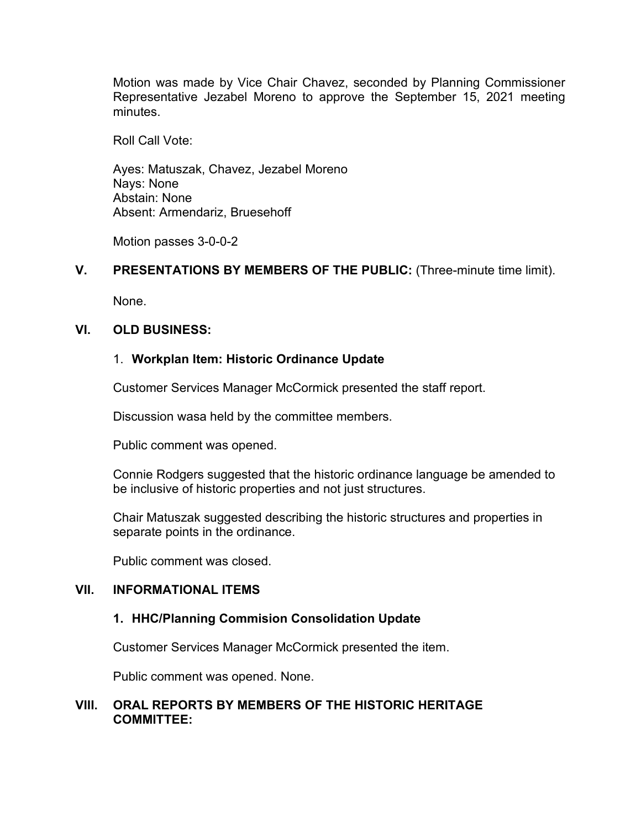Motion was made by Vice Chair Chavez, seconded by Planning Commissioner Representative Jezabel Moreno to approve the September 15, 2021 meeting minutes.

Roll Call Vote:

Ayes: Matuszak, Chavez, Jezabel Moreno Nays: None Abstain: None Absent: Armendariz, Bruesehoff

Motion passes 3-0-0-2

#### **V. PRESENTATIONS BY MEMBERS OF THE PUBLIC:** (Three-minute time limit).

None.

#### **VI. OLD BUSINESS:**

#### 1. **Workplan Item: Historic Ordinance Update**

Customer Services Manager McCormick presented the staff report.

Discussion wasa held by the committee members.

Public comment was opened.

Connie Rodgers suggested that the historic ordinance language be amended to be inclusive of historic properties and not just structures.

Chair Matuszak suggested describing the historic structures and properties in separate points in the ordinance.

Public comment was closed.

#### **VII. INFORMATIONAL ITEMS**

#### **1. HHC/Planning Commision Consolidation Update**

Customer Services Manager McCormick presented the item.

Public comment was opened. None.

#### **VIII. ORAL REPORTS BY MEMBERS OF THE HISTORIC HERITAGE COMMITTEE:**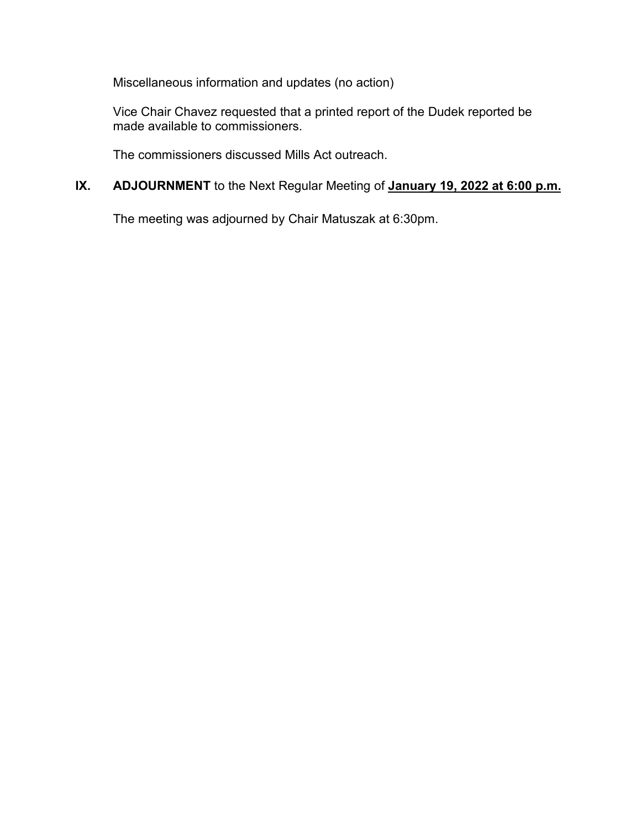Miscellaneous information and updates (no action)

Vice Chair Chavez requested that a printed report of the Dudek reported be made available to commissioners.

The commissioners discussed Mills Act outreach.

# **IX. ADJOURNMENT** to the Next Regular Meeting of **January 19, 2022 at 6:00 p.m.**

The meeting was adjourned by Chair Matuszak at 6:30pm.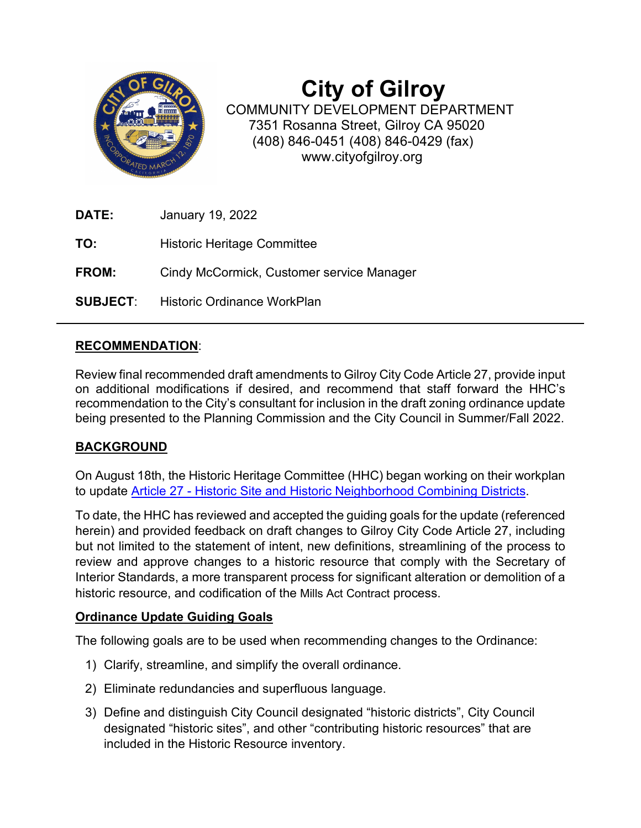

# **City of Gilroy**

COMMUNITY DEVELOPMENT DEPARTMENT 7351 Rosanna Street, Gilroy CA 95020 (408) 846-0451 (408) 846-0429 (fax) www.cityofgilroy.org

| <b>DATE:</b> | January 19, 2022                            |
|--------------|---------------------------------------------|
| TO:          | Historic Heritage Committee                 |
| <b>FROM:</b> | Cindy McCormick, Customer service Manager   |
|              | <b>SUBJECT:</b> Historic Ordinance WorkPlan |

# **RECOMMENDATION**:

Review final recommended draft amendments to Gilroy City Code Article 27, provide input on additional modifications if desired, and recommend that staff forward the HHC's recommendation to the City's consultant for inclusion in the draft zoning ordinance update being presented to the Planning Commission and the City Council in Summer/Fall 2022.

# **BACKGROUND**

On August 18th, the Historic Heritage Committee (HHC) began working on their workplan to update Article 27 - Historic Site and Historic [Neighborhood Combining Districts.](https://www.codepublishing.com/CA/Gilroy/#!/Gilroy30/Gilroy3027.html)

To date, the HHC has reviewed and accepted the guiding goals for the update (referenced herein) and provided feedback on draft changes to Gilroy City Code Article 27, including but not limited to the statement of intent, new definitions, streamlining of the process to review and approve changes to a historic resource that comply with the Secretary of Interior Standards, a more transparent process for significant alteration or demolition of a historic resource, and codification of the Mills Act Contract process.

# **Ordinance Update Guiding Goals**

The following goals are to be used when recommending changes to the Ordinance:

- 1) Clarify, streamline, and simplify the overall ordinance.
- 2) Eliminate redundancies and superfluous language.
- 3) Define and distinguish City Council designated "historic districts", City Council designated "historic sites", and other "contributing historic resources" that are included in the Historic Resource inventory.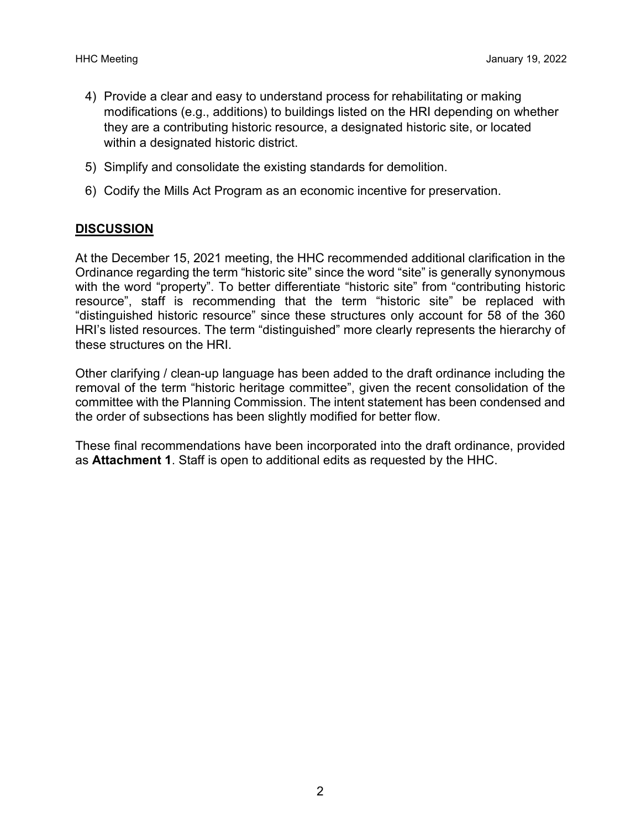- 4) Provide a clear and easy to understand process for rehabilitating or making modifications (e.g., additions) to buildings listed on the HRI depending on whether they are a contributing historic resource, a designated historic site, or located within a designated historic district.
- 5) Simplify and consolidate the existing standards for demolition.
- 6) Codify the Mills Act Program as an economic incentive for preservation.

# **DISCUSSION**

At the December 15, 2021 meeting, the HHC recommended additional clarification in the Ordinance regarding the term "historic site" since the word "site" is generally synonymous with the word "property". To better differentiate "historic site" from "contributing historic resource", staff is recommending that the term "historic site" be replaced with "distinguished historic resource" since these structures only account for 58 of the 360 HRI's listed resources. The term "distinguished" more clearly represents the hierarchy of these structures on the HRI.

Other clarifying / clean-up language has been added to the draft ordinance including the removal of the term "historic heritage committee", given the recent consolidation of the committee with the Planning Commission. The intent statement has been condensed and the order of subsections has been slightly modified for better flow.

These final recommendations have been incorporated into the draft ordinance, provided as **Attachment 1**. Staff is open to additional edits as requested by the HHC.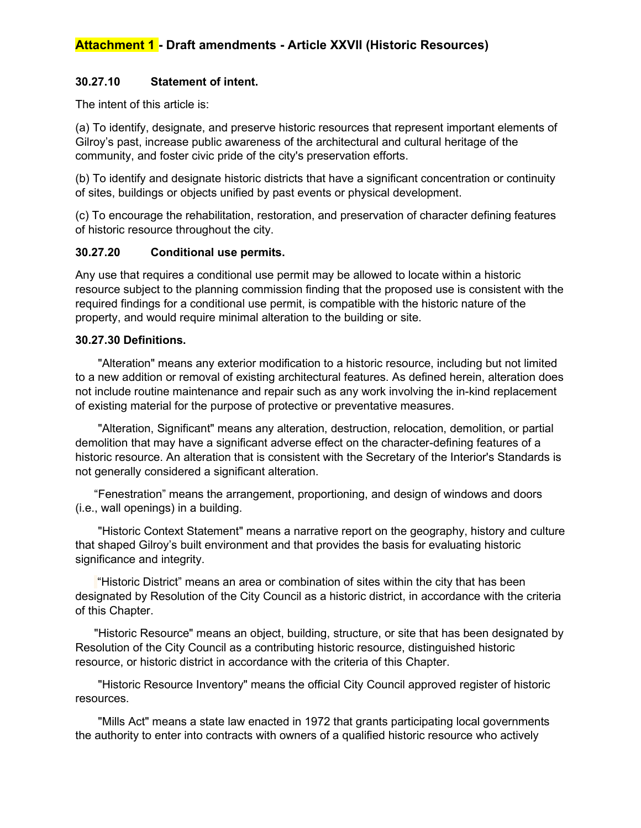#### **30.27.10 Statement of intent.**

The intent of this article is:

(a) To identify, designate, and preserve historic resources that represent important elements of Gilroy's past, increase public awareness of the architectural and cultural heritage of the community, and foster civic pride of the city's preservation efforts.

(b) To identify and designate historic districts that have a significant concentration or continuity of sites, buildings or objects unified by past events or physical development.

(c) To encourage the rehabilitation, restoration, and preservation of character defining features of historic resource throughout the city.

#### **30.27.20 Conditional use permits.**

Any use that requires a conditional use permit may be allowed to locate within a historic resource subject to the planning commission finding that the proposed use is consistent with the required findings for a conditional use permit, is compatible with the historic nature of the property, and would require minimal alteration to the building or site.

#### **30.27.30 Definitions.**

"Alteration" means any exterior modification to a historic resource, including but not limited to a new addition or removal of existing architectural features. As defined herein, alteration does not include routine maintenance and repair such as any work involving the in-kind replacement of existing material for the purpose of protective or preventative measures.

"Alteration, Significant" means any alteration, destruction, relocation, demolition, or partial demolition that may have a significant adverse effect on the character-defining features of a historic resource. An alteration that is consistent with the Secretary of the Interior's Standards is not generally considered a significant alteration.

"Fenestration" means the arrangement, proportioning, and design of windows and doors (i.e., wall openings) in a building.

"Historic Context Statement" means a narrative report on the geography, history and culture that shaped Gilroy's built environment and that provides the basis for evaluating historic significance and integrity.

"Historic District" means an area or combination of sites within the city that has been designated by Resolution of the City Council as a historic district, in accordance with the criteria of this Chapter.

"Historic Resource" means an object, building, structure, or site that has been designated by Resolution of the City Council as a contributing historic resource, distinguished historic resource, or historic district in accordance with the criteria of this Chapter.

"Historic Resource Inventory" means the official City Council approved register of historic resources.

"Mills Act" means a state law enacted in 1972 that grants participating local governments the authority to enter into contracts with owners of a qualified historic resource who actively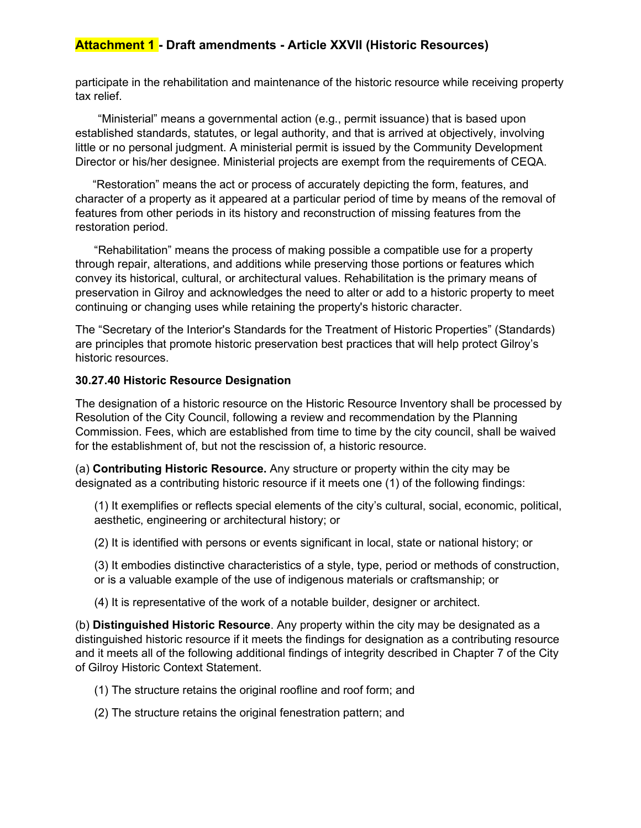#### **Attachment 1 - Draft amendments - Article XXVII (Historic Resources)**

participate in the rehabilitation and maintenance of the historic resource while receiving property tax relief.

"Ministerial" means a governmental action (e.g., permit issuance) that is based upon established standards, statutes, or legal authority, and that is arrived at objectively, involving little or no personal judgment. A ministerial permit is issued by the Community Development Director or his/her designee. Ministerial projects are exempt from the requirements of CEQA.

"Restoration" means the act or process of accurately depicting the form, features, and character of a property as it appeared at a particular period of time by means of the removal of features from other periods in its history and reconstruction of missing features from the restoration period.

"Rehabilitation" means the process of making possible a compatible use for a property through repair, alterations, and additions while preserving those portions or features which convey its historical, cultural, or architectural values. Rehabilitation is the primary means of preservation in Gilroy and acknowledges the need to alter or add to a historic property to meet continuing or changing uses while retaining the property's historic character.

The "Secretary of the Interior's Standards for the Treatment of Historic Properties" (Standards) are principles that promote historic preservation best practices that will help protect Gilroy's historic resources.

#### **30.27.40 Historic Resource Designation**

The designation of a historic resource on the Historic Resource Inventory shall be processed by Resolution of the City Council, following a review and recommendation by the Planning Commission. Fees, which are established from time to time by the city council, shall be waived for the establishment of, but not the rescission of, a historic resource.

(a) **Contributing Historic Resource.** Any structure or property within the city may be designated as a contributing historic resource if it meets one (1) of the following findings:

(1) It exemplifies or reflects special elements of the city's cultural, social, economic, political, aesthetic, engineering or architectural history; or

(2) It is identified with persons or events significant in local, state or national history; or

(3) It embodies distinctive characteristics of a style, type, period or methods of construction, or is a valuable example of the use of indigenous materials or craftsmanship; or

(4) It is representative of the work of a notable builder, designer or architect.

(b) **Distinguished Historic Resource**. Any property within the city may be designated as a distinguished historic resource if it meets the findings for designation as a contributing resource and it meets all of the following additional findings of integrity described in Chapter 7 of the City of Gilroy Historic Context Statement.

- (1) The structure retains the original roofline and roof form; and
- (2) The structure retains the original fenestration pattern; and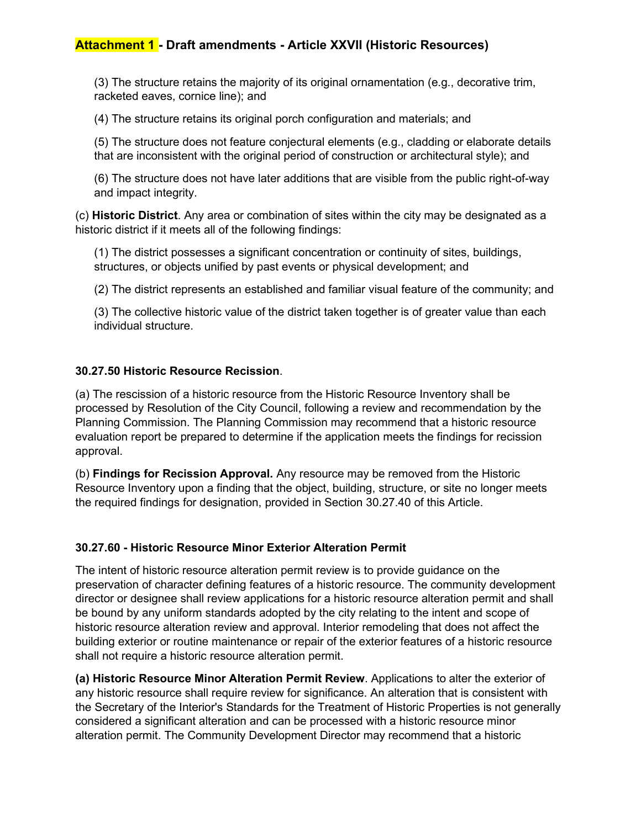(3) The structure retains the majority of its original ornamentation (e.g., decorative trim, racketed eaves, cornice line); and

(4) The structure retains its original porch configuration and materials; and

(5) The structure does not feature conjectural elements (e.g., cladding or elaborate details that are inconsistent with the original period of construction or architectural style); and

(6) The structure does not have later additions that are visible from the public right-of-way and impact integrity.

(c) **Historic District**. Any area or combination of sites within the city may be designated as a historic district if it meets all of the following findings:

(1) The district possesses a significant concentration or continuity of sites, buildings, structures, or objects unified by past events or physical development; and

(2) The district represents an established and familiar visual feature of the community; and

(3) The collective historic value of the district taken together is of greater value than each individual structure.

#### **30.27.50 Historic Resource Recission**.

(a) The rescission of a historic resource from the Historic Resource Inventory shall be processed by Resolution of the City Council, following a review and recommendation by the Planning Commission. The Planning Commission may recommend that a historic resource evaluation report be prepared to determine if the application meets the findings for recission approval.

(b) **Findings for Recission Approval.** Any resource may be removed from the Historic Resource Inventory upon a finding that the object, building, structure, or site no longer meets the required findings for designation, provided in Section 30.27.40 of this Article.

#### **30.27.60 - Historic Resource Minor Exterior Alteration Permit**

The intent of historic resource alteration permit review is to provide guidance on the preservation of character defining features of a historic resource. The community development director or designee shall review applications for a historic resource alteration permit and shall be bound by any uniform standards adopted by the city relating to the intent and scope of historic resource alteration review and approval. Interior remodeling that does not affect the building exterior or routine maintenance or repair of the exterior features of a historic resource shall not require a historic resource alteration permit.

**(a) Historic Resource Minor Alteration Permit Review**. Applications to alter the exterior of any historic resource shall require review for significance. An alteration that is consistent with the Secretary of the Interior's Standards for the Treatment of Historic Properties is not generally considered a significant alteration and can be processed with a historic resource minor alteration permit. The Community Development Director may recommend that a historic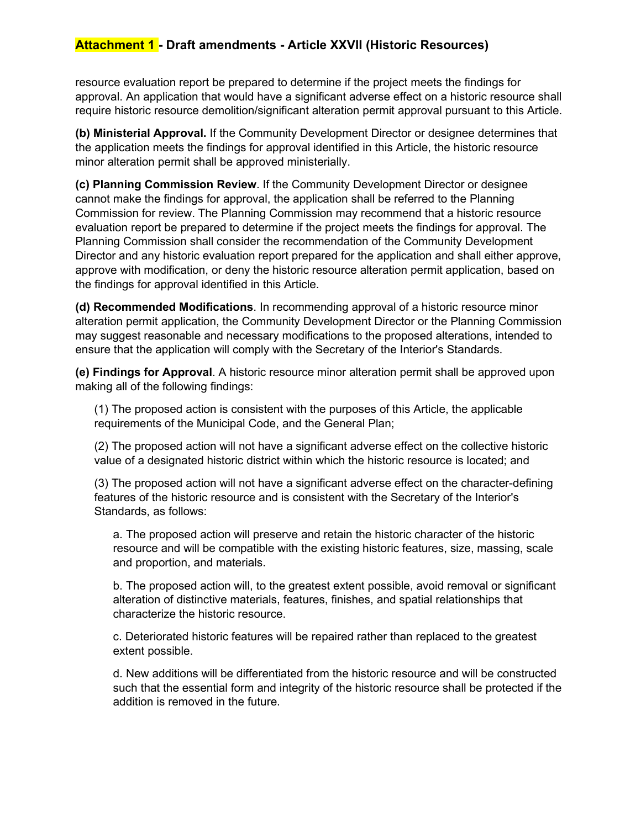#### **Attachment 1 - Draft amendments - Article XXVII (Historic Resources)**

resource evaluation report be prepared to determine if the project meets the findings for approval. An application that would have a significant adverse effect on a historic resource shall require historic resource demolition/significant alteration permit approval pursuant to this Article.

**(b) Ministerial Approval.** If the Community Development Director or designee determines that the application meets the findings for approval identified in this Article, the historic resource minor alteration permit shall be approved ministerially.

**(c) Planning Commission Review**. If the Community Development Director or designee cannot make the findings for approval, the application shall be referred to the Planning Commission for review. The Planning Commission may recommend that a historic resource evaluation report be prepared to determine if the project meets the findings for approval. The Planning Commission shall consider the recommendation of the Community Development Director and any historic evaluation report prepared for the application and shall either approve, approve with modification, or deny the historic resource alteration permit application, based on the findings for approval identified in this Article.

**(d) Recommended Modifications**. In recommending approval of a historic resource minor alteration permit application, the Community Development Director or the Planning Commission may suggest reasonable and necessary modifications to the proposed alterations, intended to ensure that the application will comply with the Secretary of the Interior's Standards.

**(e) Findings for Approval**. A historic resource minor alteration permit shall be approved upon making all of the following findings:

(1) The proposed action is consistent with the purposes of this Article, the applicable requirements of the Municipal Code, and the General Plan;

(2) The proposed action will not have a significant adverse effect on the collective historic value of a designated historic district within which the historic resource is located; and

(3) The proposed action will not have a significant adverse effect on the character-defining features of the historic resource and is consistent with the Secretary of the Interior's Standards, as follows:

a. The proposed action will preserve and retain the historic character of the historic resource and will be compatible with the existing historic features, size, massing, scale and proportion, and materials.

b. The proposed action will, to the greatest extent possible, avoid removal or significant alteration of distinctive materials, features, finishes, and spatial relationships that characterize the historic resource.

c. Deteriorated historic features will be repaired rather than replaced to the greatest extent possible.

d. New additions will be differentiated from the historic resource and will be constructed such that the essential form and integrity of the historic resource shall be protected if the addition is removed in the future.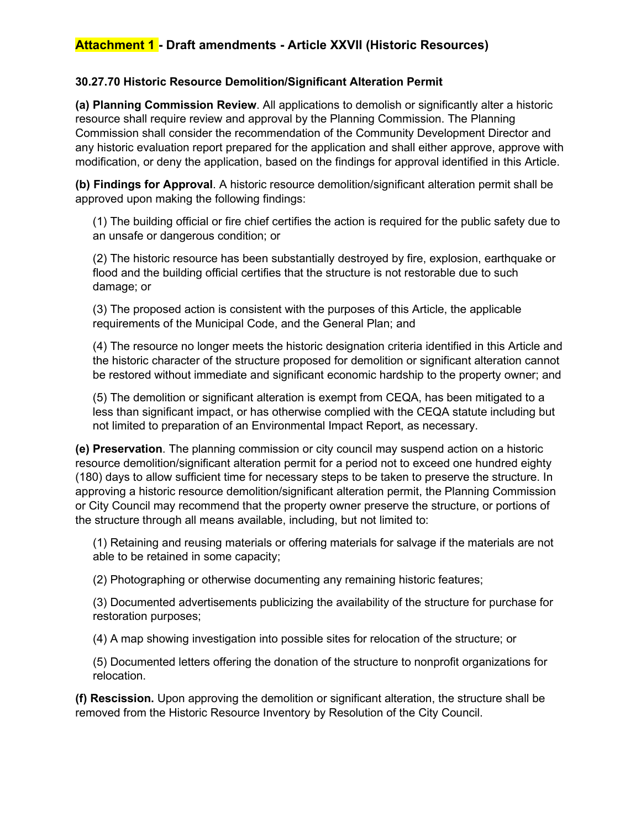#### **30.27.70 Historic Resource Demolition/Significant Alteration Permit**

**(a) Planning Commission Review**. All applications to demolish or significantly alter a historic resource shall require review and approval by the Planning Commission. The Planning Commission shall consider the recommendation of the Community Development Director and any historic evaluation report prepared for the application and shall either approve, approve with modification, or deny the application, based on the findings for approval identified in this Article.

**(b) Findings for Approval**. A historic resource demolition/significant alteration permit shall be approved upon making the following findings:

(1) The building official or fire chief certifies the action is required for the public safety due to an unsafe or dangerous condition; or

(2) The historic resource has been substantially destroyed by fire, explosion, earthquake or flood and the building official certifies that the structure is not restorable due to such damage; or

(3) The proposed action is consistent with the purposes of this Article, the applicable requirements of the Municipal Code, and the General Plan; and

(4) The resource no longer meets the historic designation criteria identified in this Article and the historic character of the structure proposed for demolition or significant alteration cannot be restored without immediate and significant economic hardship to the property owner; and

(5) The demolition or significant alteration is exempt from CEQA, has been mitigated to a less than significant impact, or has otherwise complied with the CEQA statute including but not limited to preparation of an Environmental Impact Report, as necessary.

**(e) Preservation**. The planning commission or city council may suspend action on a historic resource demolition/significant alteration permit for a period not to exceed one hundred eighty (180) days to allow sufficient time for necessary steps to be taken to preserve the structure. In approving a historic resource demolition/significant alteration permit, the Planning Commission or City Council may recommend that the property owner preserve the structure, or portions of the structure through all means available, including, but not limited to:

(1) Retaining and reusing materials or offering materials for salvage if the materials are not able to be retained in some capacity;

(2) Photographing or otherwise documenting any remaining historic features;

(3) Documented advertisements publicizing the availability of the structure for purchase for restoration purposes;

(4) A map showing investigation into possible sites for relocation of the structure; or

(5) Documented letters offering the donation of the structure to nonprofit organizations for relocation.

**(f) Rescission.** Upon approving the demolition or significant alteration, the structure shall be removed from the Historic Resource Inventory by Resolution of the City Council.